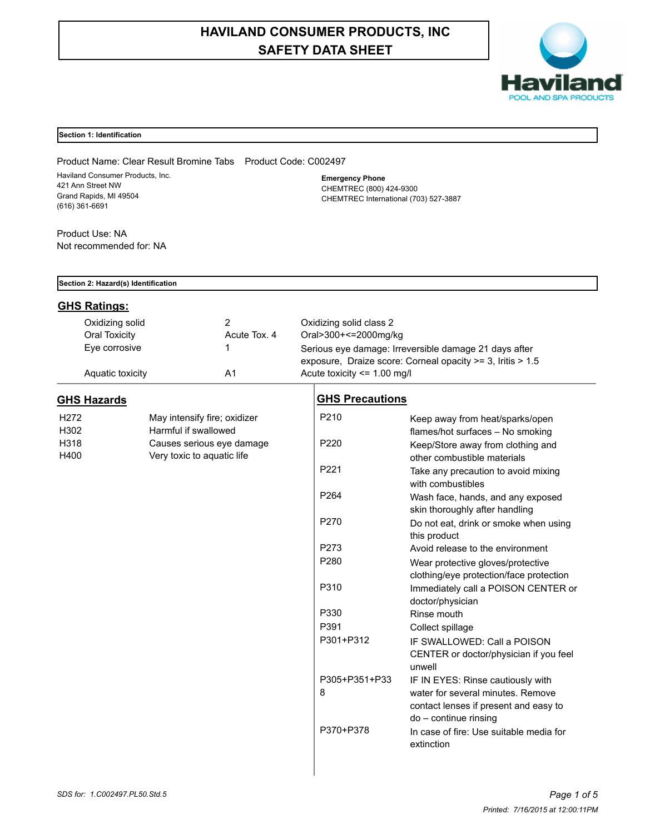# **HAVILAND CONSUMER PRODUCTS, INC SAFETY DATA SHEET**



## **Section 1: Identification**

Product Name: Clear Result Bromine Tabs Product Code: C002497 Haviland Consumer Products, Inc. 421 Ann Street NW Grand Rapids, MI 49504 (616) 361-6691

**Emergency Phone** CHEMTREC (800) 424-9300 CHEMTREC International (703) 527-3887

Product Use: NA Not recommended for: NA

|                  | Section 2: Hazard(s) Identification |                              |                                                            |                                                       |                                                          |  |  |
|------------------|-------------------------------------|------------------------------|------------------------------------------------------------|-------------------------------------------------------|----------------------------------------------------------|--|--|
|                  | <b>GHS Ratings:</b>                 |                              |                                                            |                                                       |                                                          |  |  |
|                  | Oxidizing solid                     |                              | $\overline{2}$                                             | Oxidizing solid class 2                               |                                                          |  |  |
|                  | <b>Oral Toxicity</b>                |                              | Acute Tox. 4                                               | Oral>300+<=2000mg/kg                                  |                                                          |  |  |
|                  | Eye corrosive                       |                              | 1                                                          | Serious eye damage: Irreversible damage 21 days after |                                                          |  |  |
|                  |                                     |                              | exposure, Draize score: Corneal opacity >= 3, Iritis > 1.5 |                                                       |                                                          |  |  |
|                  | Aquatic toxicity                    |                              | A <sub>1</sub>                                             | Acute toxicity <= 1.00 mg/l                           |                                                          |  |  |
|                  | <b>GHS Hazards</b>                  |                              |                                                            | <b>GHS Precautions</b>                                |                                                          |  |  |
| H <sub>272</sub> |                                     | May intensify fire; oxidizer |                                                            | P210                                                  | Keep away from heat/sparks/open                          |  |  |
| H302             |                                     | Harmful if swallowed         |                                                            |                                                       | flames/hot surfaces - No smoking                         |  |  |
| H318             |                                     | Causes serious eye damage    |                                                            | P <sub>220</sub>                                      | Keep/Store away from clothing and                        |  |  |
| H400             |                                     | Very toxic to aquatic life   |                                                            |                                                       | other combustible materials                              |  |  |
|                  |                                     |                              |                                                            | P221                                                  | Take any precaution to avoid mixing<br>with combustibles |  |  |
|                  |                                     |                              |                                                            | P264                                                  | Wash face, hands, and any exposed                        |  |  |
|                  |                                     |                              |                                                            |                                                       | skin thoroughly after handling                           |  |  |
|                  |                                     |                              |                                                            | P270                                                  | Do not eat, drink or smoke when using                    |  |  |
|                  |                                     |                              |                                                            | P273                                                  | this product<br>Avoid release to the environment         |  |  |
|                  |                                     |                              |                                                            | P280                                                  | Wear protective gloves/protective                        |  |  |
|                  |                                     |                              |                                                            |                                                       | clothing/eye protection/face protection                  |  |  |
|                  |                                     |                              |                                                            | P310                                                  | Immediately call a POISON CENTER or                      |  |  |
|                  |                                     |                              |                                                            |                                                       | doctor/physician                                         |  |  |
|                  |                                     |                              |                                                            | P330                                                  | Rinse mouth                                              |  |  |
|                  |                                     |                              |                                                            | P391                                                  | Collect spillage                                         |  |  |
|                  |                                     |                              |                                                            | P301+P312                                             | IF SWALLOWED: Call a POISON                              |  |  |
|                  |                                     |                              |                                                            |                                                       | CENTER or doctor/physician if you feel<br>unwell         |  |  |
|                  |                                     |                              |                                                            | P305+P351+P33                                         | IF IN EYES: Rinse cautiously with                        |  |  |
|                  |                                     |                              |                                                            | 8                                                     | water for several minutes. Remove                        |  |  |
|                  |                                     |                              |                                                            |                                                       | contact lenses if present and easy to                    |  |  |
|                  |                                     |                              |                                                            |                                                       | do - continue rinsing                                    |  |  |
|                  |                                     |                              |                                                            | P370+P378                                             | In case of fire: Use suitable media for                  |  |  |
|                  |                                     |                              |                                                            |                                                       | extinction                                               |  |  |
|                  |                                     |                              |                                                            |                                                       |                                                          |  |  |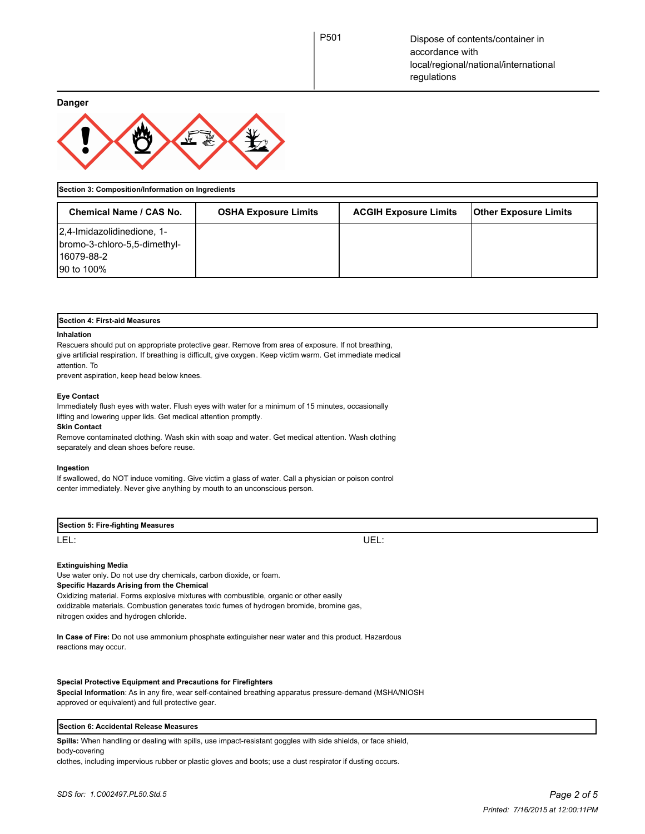**Danger**



**Section 3: Composition/Information on Ingredients**

| <b>Chemical Name / CAS No.</b>                                                           | <b>OSHA Exposure Limits</b> | <b>ACGIH Exposure Limits</b> | <b>Other Exposure Limits</b> |
|------------------------------------------------------------------------------------------|-----------------------------|------------------------------|------------------------------|
| 2,4-Imidazolidinedione, 1-<br>bromo-3-chloro-5,5-dimethyl-<br>116079-88-2<br>190 to 100% |                             |                              |                              |

| <b>Section 4: First-aid Measures</b>                                                                         |  |  |
|--------------------------------------------------------------------------------------------------------------|--|--|
| Inhalation                                                                                                   |  |  |
| Rescuers should put on appropriate protective gear. Remove from area of exposure. If not breathing,          |  |  |
| give artificial respiration. If breathing is difficult, give oxygen. Keep victim warm. Get immediate medical |  |  |
| attention. To                                                                                                |  |  |
| prevent aspiration, keep head below knees.                                                                   |  |  |

## **Eye Contact**

Immediately flush eyes with water. Flush eyes with water for a minimum of 15 minutes, occasionally lifting and lowering upper lids. Get medical attention promptly.

**Skin Contact**

Remove contaminated clothing. Wash skin with soap and water. Get medical attention. Wash clothing separately and clean shoes before reuse.

#### **Ingestion**

If swallowed, do NOT induce vomiting. Give victim a glass of water. Call a physician or poison control center immediately. Never give anything by mouth to an unconscious person.

| Section 5: Fire-fighting Measures |           |
|-----------------------------------|-----------|
| LEL:                              | ТD<br>◡∟∟ |

#### **Extinguishing Media**

Use water only. Do not use dry chemicals, carbon dioxide, or foam. **Specific Hazards Arising from the Chemical** Oxidizing material. Forms explosive mixtures with combustible, organic or other easily

oxidizable materials. Combustion generates toxic fumes of hydrogen bromide, bromine gas, nitrogen oxides and hydrogen chloride.

**In Case of Fire:** Do not use ammonium phosphate extinguisher near water and this product. Hazardous reactions may occur.

## **Special Protective Equipment and Precautions for Firefighters**

**Special Information**: As in any fire, wear self-contained breathing apparatus pressure-demand (MSHA/NIOSH approved or equivalent) and full protective gear.

#### **Section 6: Accidental Release Measures**

**Spills:** When handling or dealing with spills, use impact-resistant goggles with side shields, or face shield, body-covering

clothes, including impervious rubber or plastic gloves and boots; use a dust respirator if dusting occurs.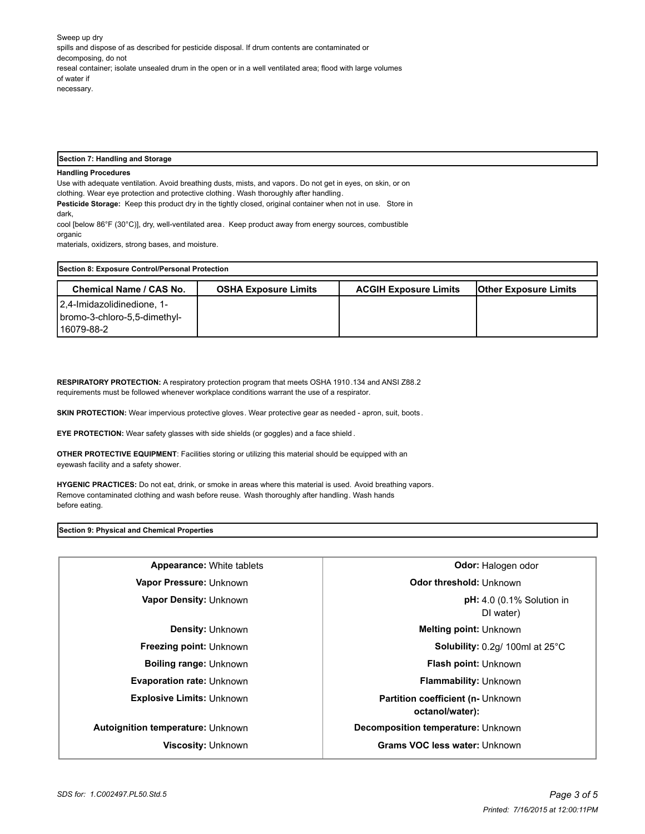Sweep up dry spills and dispose of as described for pesticide disposal. If drum contents are contaminated or decomposing, do not reseal container; isolate unsealed drum in the open or in a well ventilated area; flood with large volumes of water if necessary.

## **Section 7: Handling and Storage**

## **Handling Procedures**

Use with adequate ventilation. Avoid breathing dusts, mists, and vapors. Do not get in eyes, on skin, or on clothing. Wear eye protection and protective clothing. Wash thoroughly after handling. **Pesticide Storage:** Keep this product dry in the tightly closed, original container when not in use. Store in

dark, cool [below 86°F (30°C)], dry, well-ventilated area. Keep product away from energy sources, combustible organic

materials, oxidizers, strong bases, and moisture.

| Section 8: Exposure Control/Personal Protection |                             |                              |                              |  |  |
|-------------------------------------------------|-----------------------------|------------------------------|------------------------------|--|--|
| <b>Chemical Name / CAS No.</b>                  | <b>OSHA Exposure Limits</b> | <b>ACGIH Exposure Limits</b> | <b>Other Exposure Limits</b> |  |  |
| 2.4-Imidazolidinedione, 1-                      |                             |                              |                              |  |  |
| bromo-3-chloro-5,5-dimethyl-                    |                             |                              |                              |  |  |
| l 16079-88-2                                    |                             |                              |                              |  |  |

**RESPIRATORY PROTECTION:** A respiratory protection program that meets OSHA 1910.134 and ANSI Z88.2 requirements must be followed whenever workplace conditions warrant the use of a respirator.

**SKIN PROTECTION:** Wear impervious protective gloves. Wear protective gear as needed - apron, suit, boots.

**EYE PROTECTION:** Wear safety glasses with side shields (or goggles) and a face shield .

**OTHER PROTECTIVE EQUIPMENT**: Facilities storing or utilizing this material should be equipped with an eyewash facility and a safety shower.

**HYGENIC PRACTICES:** Do not eat, drink, or smoke in areas where this material is used. Avoid breathing vapors. Remove contaminated clothing and wash before reuse. Wash thoroughly after handling. Wash hands before eating.

#### **Section 9: Physical and Chemical Properties**

| <b>Appearance:</b> White tablets  | Odor: Halogen odor                                           |  |
|-----------------------------------|--------------------------------------------------------------|--|
| Vapor Pressure: Unknown           | Odor threshold: Unknown                                      |  |
| Vapor Density: Unknown            | $pH: 4.0$ (0.1% Solution in<br>DI water)                     |  |
| <b>Density: Unknown</b>           | <b>Melting point: Unknown</b>                                |  |
| <b>Freezing point: Unknown</b>    | Solubility: 0.2g/ 100ml at 25°C                              |  |
| <b>Boiling range: Unknown</b>     | <b>Flash point: Unknown</b>                                  |  |
| <b>Evaporation rate: Unknown</b>  | <b>Flammability: Unknown</b>                                 |  |
| <b>Explosive Limits: Unknown</b>  | <b>Partition coefficient (n- Unknown)</b><br>octanol/water): |  |
| Autoignition temperature: Unknown | Decomposition temperature: Unknown                           |  |
| Viscosity: Unknown                | Grams VOC less water: Unknown                                |  |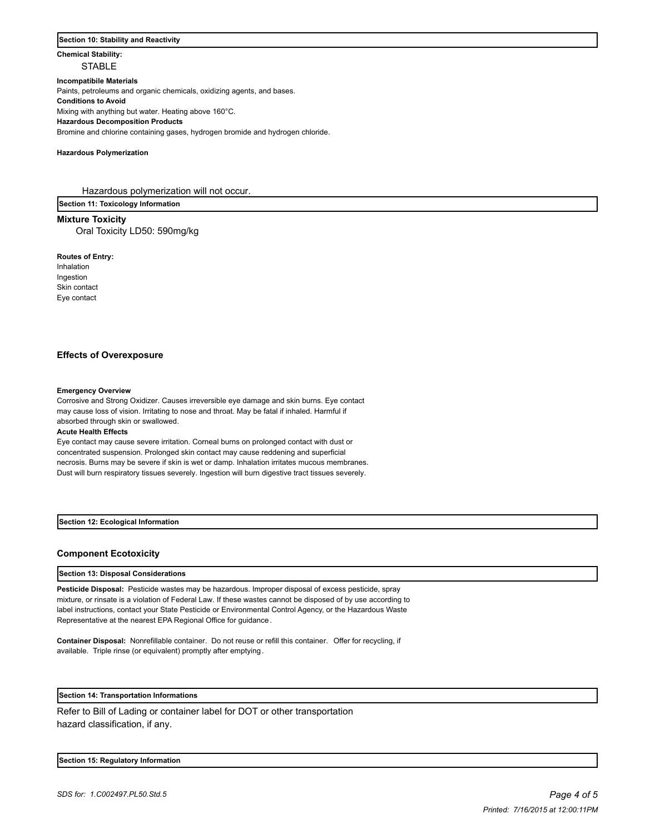## **Section 10: Stability and Reactivity**

# **Chemical Stability: STABLE**

## **Incompatibile Materials**

Paints, petroleums and organic chemicals, oxidizing agents, and bases.

**Conditions to Avoid**

Mixing with anything but water. Heating above 160°C.

**Hazardous Decomposition Products**

Bromine and chlorine containing gases, hydrogen bromide and hydrogen chloride.

#### **Hazardous Polymerization**

Hazardous polymerization will not occur.

**Section 11: Toxicology Information**

## **Mixture Toxicity**

Oral Toxicity LD50: 590mg/kg

#### **Routes of Entry:**

Inhalation Ingestion Skin contact Eye contact

## **Effects of Overexposure**

#### **Emergency Overview**

Corrosive and Strong Oxidizer. Causes irreversible eye damage and skin burns. Eye contact may cause loss of vision. Irritating to nose and throat. May be fatal if inhaled. Harmful if absorbed through skin or swallowed.

#### **Acute Health Effects**

Eye contact may cause severe irritation. Corneal burns on prolonged contact with dust or concentrated suspension. Prolonged skin contact may cause reddening and superficial necrosis. Burns may be severe if skin is wet or damp. Inhalation irritates mucous membranes. Dust will burn respiratory tissues severely. Ingestion will burn digestive tract tissues severely.

**Section 12: Ecological Information**

## **Component Ecotoxicity**

## **Section 13: Disposal Considerations**

**Pesticide Disposal:** Pesticide wastes may be hazardous. Improper disposal of excess pesticide, spray mixture, or rinsate is a violation of Federal Law. If these wastes cannot be disposed of by use according to label instructions, contact your State Pesticide or Environmental Control Agency, or the Hazardous Waste Representative at the nearest EPA Regional Office for guidance .

**Container Disposal:** Nonrefillable container. Do not reuse or refill this container. Offer for recycling, if available. Triple rinse (or equivalent) promptly after emptying.

# **Section 14: Transportation Informations**

Refer to Bill of Lading or container label for DOT or other transportation hazard classification, if any.

#### **Section 15: Regulatory Information**